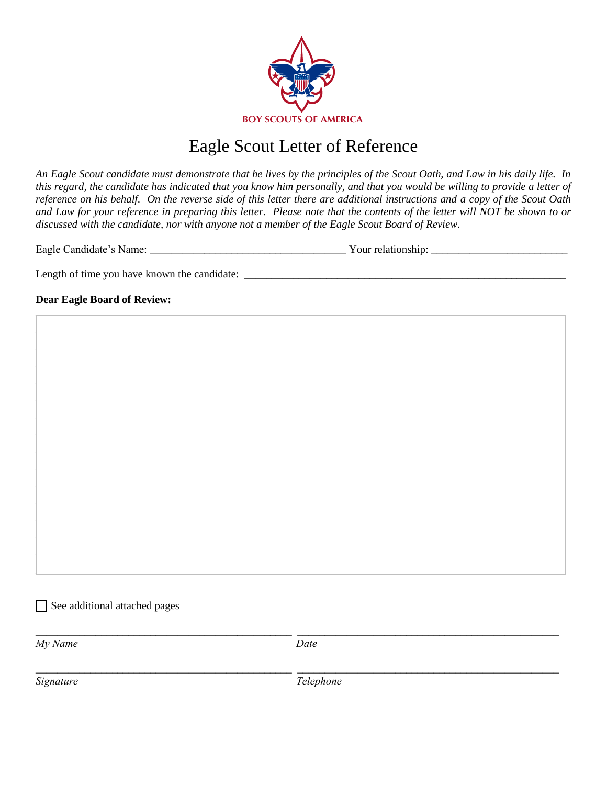

### Eagle Scout Letter of Reference

An Eagle Scout candidate must demonstrate that he lives by the principles of the Scout Oath, and Law in his daily life. In this regard, the candidate has indicated that you know him personally, and that you would be willing to provide a letter of reference on his behalf. On the reverse side of this letter there are additional instructions and a copy of the Scout Oath and Law for your reference in preparing this letter. Please note that the contents of the letter will NOT be shown to or discussed with the candidate, nor with anyone not a member of the Eagle Scout Board of Review.

| Eagle Candidate's Name: | Your relationship: |
|-------------------------|--------------------|
|-------------------------|--------------------|

Length of time you have known the candidate:

### **Dear Eagle Board of Review:**

See additional attached pages

My Name

Date

Signature

Telephone